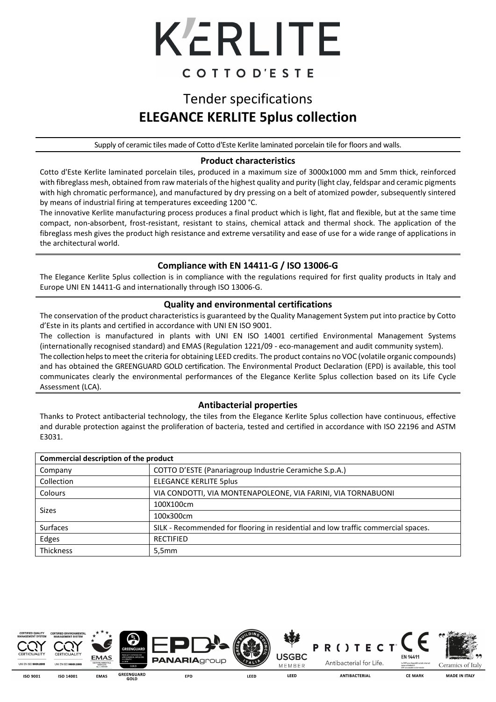

## Tender specifications **ELEGANCE KERLITE 5plus collection**

Supply of ceramic tiles made of Cotto d'Este Kerlite laminated porcelain tile for floors and walls.

### **Product characteristics**

Cotto d'Este Kerlite laminated porcelain tiles, produced in a maximum size of 3000x1000 mm and 5mm thick, reinforced with fibreglass mesh, obtained from raw materials of the highest quality and purity (light clay, feldspar and ceramic pigments with high chromatic performance), and manufactured by dry pressing on a belt of atomized powder, subsequently sintered by means of industrial firing at temperatures exceeding 1200 °C.

The innovative Kerlite manufacturing process produces a final product which is light, flat and flexible, but at the same time compact, non-absorbent, frost-resistant, resistant to stains, chemical attack and thermal shock. The application of the fibreglass mesh gives the product high resistance and extreme versatility and ease of use for a wide range of applications in the architectural world.

## **Compliance with EN 14411-G / ISO 13006-G**

The Elegance Kerlite 5plus collection is in compliance with the regulations required for first quality products in Italy and Europe UNI EN 14411-G and internationally through ISO 13006-G.

### **Quality and environmental certifications**

The conservation of the product characteristics is guaranteed by the Quality Management System put into practice by Cotto d'Este in its plants and certified in accordance with UNI EN ISO 9001.

The collection is manufactured in plants with UNI EN ISO 14001 certified Environmental Management Systems (internationally recognised standard) and EMAS (Regulation 1221/09 - eco-management and audit community system). The collection helps to meet the criteria for obtaining LEED credits. The product contains no VOC (volatile organic compounds) and has obtained the GREENGUARD GOLD certification. The Environmental Product Declaration (EPD) is available, this tool communicates clearly the environmental performances of the Elegance Kerlite 5plus collection based on its Life Cycle Assessment (LCA).

#### **Antibacterial properties**

Thanks to Protect antibacterial technology, the tiles from the Elegance Kerlite 5plus collection have continuous, effective and durable protection against the proliferation of bacteria, tested and certified in accordance with ISO 22196 and ASTM E3031.

| Commercial description of the product |                                                                                   |  |  |  |
|---------------------------------------|-----------------------------------------------------------------------------------|--|--|--|
| Company                               | COTTO D'ESTE (Panariagroup Industrie Ceramiche S.p.A.)                            |  |  |  |
| Collection                            | <b>ELEGANCE KERLITE 5plus</b>                                                     |  |  |  |
| <b>Colours</b>                        | VIA CONDOTTI, VIA MONTENAPOLEONE, VIA FARINI, VIA TORNABUONI                      |  |  |  |
| Sizes                                 | 100X100cm                                                                         |  |  |  |
|                                       | 100x300cm                                                                         |  |  |  |
| <b>Surfaces</b>                       | SILK - Recommended for flooring in residential and low traffic commercial spaces. |  |  |  |
| Edges                                 | <b>RECTIFIED</b>                                                                  |  |  |  |
| <b>Thickness</b>                      | 5,5mm                                                                             |  |  |  |